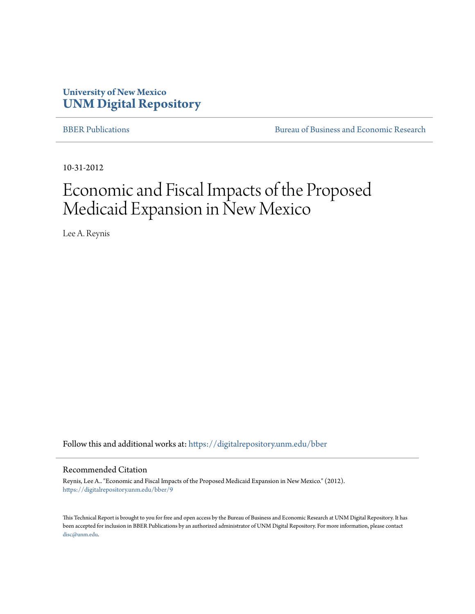# **University of New Mexico [UNM Digital Repository](https://digitalrepository.unm.edu?utm_source=digitalrepository.unm.edu%2Fbber%2F9&utm_medium=PDF&utm_campaign=PDFCoverPages)**

[BBER Publications](https://digitalrepository.unm.edu/bber?utm_source=digitalrepository.unm.edu%2Fbber%2F9&utm_medium=PDF&utm_campaign=PDFCoverPages) [Bureau of Business and Economic Research](https://digitalrepository.unm.edu/business_economic_research?utm_source=digitalrepository.unm.edu%2Fbber%2F9&utm_medium=PDF&utm_campaign=PDFCoverPages)

10-31-2012

# Economic and Fiscal Impacts of the Proposed Medicaid Expansion in New Mexico

Lee A. Reynis

Follow this and additional works at: [https://digitalrepository.unm.edu/bber](https://digitalrepository.unm.edu/bber?utm_source=digitalrepository.unm.edu%2Fbber%2F9&utm_medium=PDF&utm_campaign=PDFCoverPages)

#### Recommended Citation

Reynis, Lee A.. "Economic and Fiscal Impacts of the Proposed Medicaid Expansion in New Mexico." (2012). [https://digitalrepository.unm.edu/bber/9](https://digitalrepository.unm.edu/bber/9?utm_source=digitalrepository.unm.edu%2Fbber%2F9&utm_medium=PDF&utm_campaign=PDFCoverPages)

This Technical Report is brought to you for free and open access by the Bureau of Business and Economic Research at UNM Digital Repository. It has been accepted for inclusion in BBER Publications by an authorized administrator of UNM Digital Repository. For more information, please contact [disc@unm.edu](mailto:disc@unm.edu).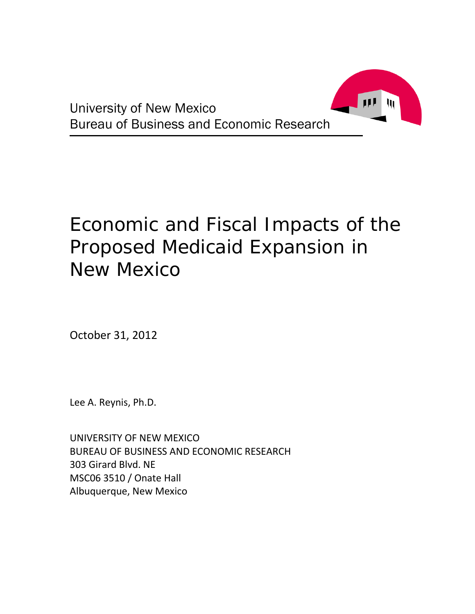

# Economic and Fiscal Impacts of the Proposed Medicaid Expansion in New Mexico

October 31, 2012

Lee A. Reynis, Ph.D.

UNIVERSITY OF NEW MEXICO BUREAU OF BUSINESS AND ECONOMIC RESEARCH 303 Girard Blvd. NE MSC06 3510 / Onate Hall Albuquerque, New Mexico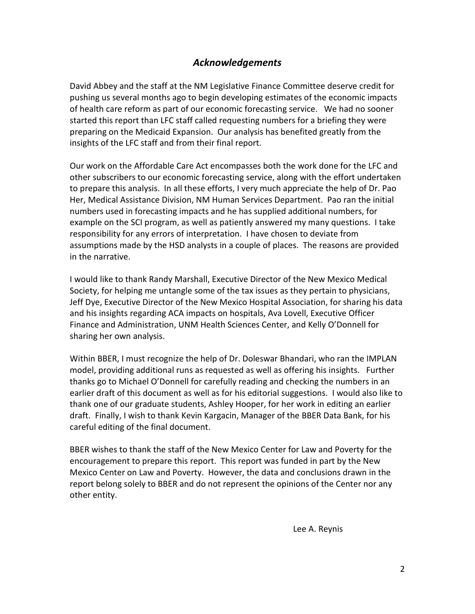### *Acknowledgements*

David Abbey and the staff at the NM Legislative Finance Committee deserve credit for pushing us several months ago to begin developing estimates of the economic impacts of health care reform as part of our economic forecasting service. We had no sooner started this report than LFC staff called requesting numbers for a briefing they were preparing on the Medicaid Expansion. Our analysis has benefited greatly from the insights of the LFC staff and from their final report.

Our work on the Affordable Care Act encompasses both the work done for the LFC and other subscribers to our economic forecasting service, along with the effort undertaken to prepare this analysis. In all these efforts, I very much appreciate the help of Dr. Pao Her, Medical Assistance Division, NM Human Services Department. Pao ran the initial numbers used in forecasting impacts and he has supplied additional numbers, for example on the SCI program, as well as patiently answered my many questions. I take responsibility for any errors of interpretation. I have chosen to deviate from assumptions made by the HSD analysts in a couple of places. The reasons are provided in the narrative.

I would like to thank Randy Marshall, Executive Director of the New Mexico Medical Society, for helping me untangle some of the tax issues as they pertain to physicians, Jeff Dye, Executive Director of the New Mexico Hospital Association, for sharing his data and his insights regarding ACA impacts on hospitals, Ava Lovell, Executive Officer Finance and Administration, UNM Health Sciences Center, and Kelly O'Donnell for sharing her own analysis.

Within BBER, I must recognize the help of Dr. Doleswar Bhandari, who ran the IMPLAN model, providing additional runs as requested as well as offering his insights. Further thanks go to Michael O'Donnell for carefully reading and checking the numbers in an earlier draft of this document as well as for his editorial suggestions. I would also like to thank one of our graduate students, Ashley Hooper, for her work in editing an earlier draft. Finally, I wish to thank Kevin Kargacin, Manager of the BBER Data Bank, for his careful editing of the final document.

BBER wishes to thank the staff of the New Mexico Center for Law and Poverty for the encouragement to prepare this report. This report was funded in part by the New Mexico Center on Law and Poverty. However, the data and conclusions drawn in the report belong solely to BBER and do not represent the opinions of the Center nor any other entity.

Lee A. Reynis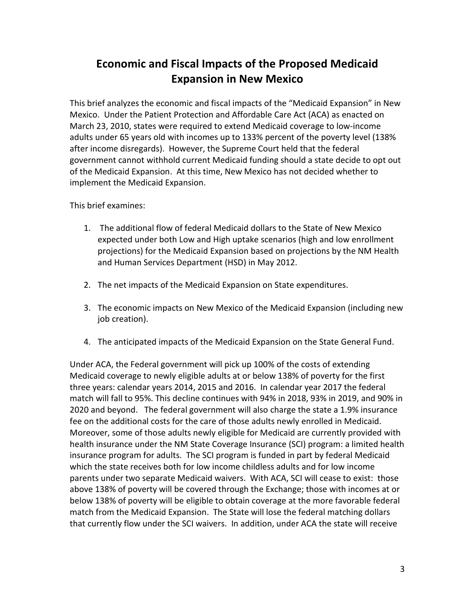# **Economic and Fiscal Impacts of the Proposed Medicaid Expansion in New Mexico**

This brief analyzes the economic and fiscal impacts of the "Medicaid Expansion" in New Mexico. Under the Patient Protection and Affordable Care Act (ACA) as enacted on March 23, 2010, states were required to extend Medicaid coverage to low-income adults under 65 years old with incomes up to 133% percent of the poverty level (138% after income disregards). However, the Supreme Court held that the federal government cannot withhold current Medicaid funding should a state decide to opt out of the Medicaid Expansion. At this time, New Mexico has not decided whether to implement the Medicaid Expansion.

This brief examines:

- 1. The additional flow of federal Medicaid dollars to the State of New Mexico expected under both Low and High uptake scenarios (high and low enrollment projections) for the Medicaid Expansion based on projections by the NM Health and Human Services Department (HSD) in May 2012.
- 2. The net impacts of the Medicaid Expansion on State expenditures.
- 3. The economic impacts on New Mexico of the Medicaid Expansion (including new job creation).
- 4. The anticipated impacts of the Medicaid Expansion on the State General Fund.

Under ACA, the Federal government will pick up 100% of the costs of extending Medicaid coverage to newly eligible adults at or below 138% of poverty for the first three years: calendar years 2014, 2015 and 2016. In calendar year 2017 the federal match will fall to 95%. This decline continues with 94% in 2018, 93% in 2019, and 90% in 2020 and beyond. The federal government will also charge the state a 1.9% insurance fee on the additional costs for the care of those adults newly enrolled in Medicaid. Moreover, some of those adults newly eligible for Medicaid are currently provided with health insurance under the NM State Coverage Insurance (SCI) program: a limited health insurance program for adults. The SCI program is funded in part by federal Medicaid which the state receives both for low income childless adults and for low income parents under two separate Medicaid waivers. With ACA, SCI will cease to exist: those above 138% of poverty will be covered through the Exchange; those with incomes at or below 138% of poverty will be eligible to obtain coverage at the more favorable federal match from the Medicaid Expansion. The State will lose the federal matching dollars that currently flow under the SCI waivers. In addition, under ACA the state will receive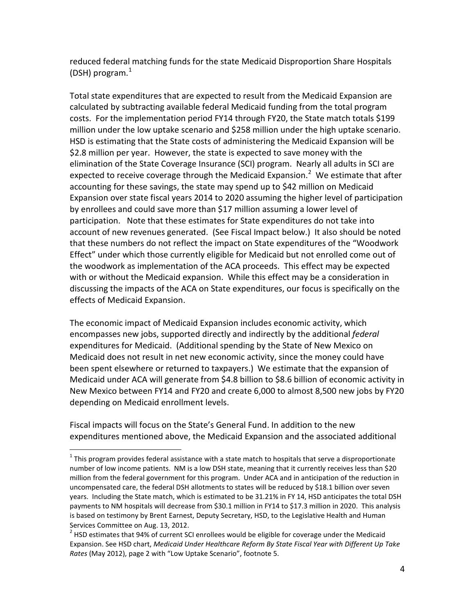reduced federal matching funds for the state Medicaid Disproportion Share Hospitals (DSH) program. $<sup>1</sup>$  $<sup>1</sup>$  $<sup>1</sup>$ </sup>

Total state expenditures that are expected to result from the Medicaid Expansion are calculated by subtracting available federal Medicaid funding from the total program costs. For the implementation period FY14 through FY20, the State match totals \$199 million under the low uptake scenario and \$258 million under the high uptake scenario. HSD is estimating that the State costs of administering the Medicaid Expansion will be \$2.8 million per year. However, the state is expected to save money with the elimination of the State Coverage Insurance (SCI) program. Nearly all adults in SCI are expected to receive coverage through the Medicaid Expansion.<sup>[2](#page-4-1)</sup> We estimate that after accounting for these savings, the state may spend up to \$42 million on Medicaid Expansion over state fiscal years 2014 to 2020 assuming the higher level of participation by enrollees and could save more than \$17 million assuming a lower level of participation. Note that these estimates for State expenditures do not take into account of new revenues generated. (See Fiscal Impact below.) It also should be noted that these numbers do not reflect the impact on State expenditures of the "Woodwork Effect" under which those currently eligible for Medicaid but not enrolled come out of the woodwork as implementation of the ACA proceeds. This effect may be expected with or without the Medicaid expansion. While this effect may be a consideration in discussing the impacts of the ACA on State expenditures, our focus is specifically on the effects of Medicaid Expansion.

The economic impact of Medicaid Expansion includes economic activity, which encompasses new jobs, supported directly and indirectly by the additional *federal* expenditures for Medicaid. (Additional spending by the State of New Mexico on Medicaid does not result in net new economic activity, since the money could have been spent elsewhere or returned to taxpayers.) We estimate that the expansion of Medicaid under ACA will generate from \$4.8 billion to \$8.6 billion of economic activity in New Mexico between FY14 and FY20 and create 6,000 to almost 8,500 new jobs by FY20 depending on Medicaid enrollment levels.

Fiscal impacts will focus on the State's General Fund. In addition to the new expenditures mentioned above, the Medicaid Expansion and the associated additional

<span id="page-4-0"></span> $1$  This program provides federal assistance with a state match to hospitals that serve a disproportionate number of low income patients. NM is a low DSH state, meaning that it currently receives less than \$20 million from the federal government for this program. Under ACA and in anticipation of the reduction in uncompensated care, the federal DSH allotments to states will be reduced by \$18.1 billion over seven years. Including the State match, which is estimated to be 31.21% in FY 14, HSD anticipates the total DSH payments to NM hospitals will decrease from \$30.1 million in FY14 to \$17.3 million in 2020. This analysis is based on testimony by Brent Earnest, Deputy Secretary, HSD, to the Legislative Health and Human Services Committee on Aug. 13, 2012.

<span id="page-4-1"></span> $2$  HSD estimates that 94% of current SCI enrollees would be eligible for coverage under the Medicaid Expansion. See HSD chart, *Medicaid Under Healthcare Reform By State Fiscal Year with Different Up Take Rates* (May 2012), page 2 with "Low Uptake Scenario", footnote 5.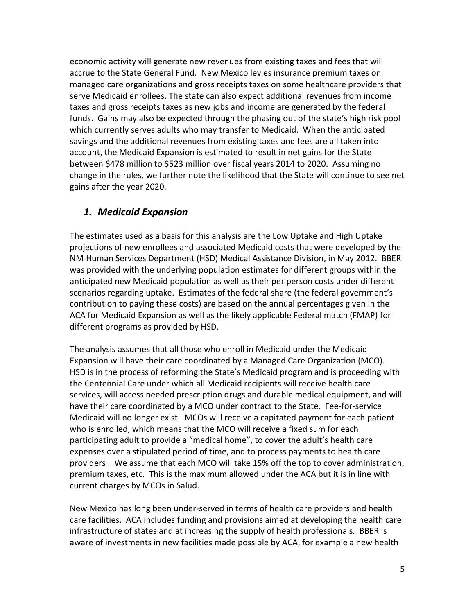economic activity will generate new revenues from existing taxes and fees that will accrue to the State General Fund. New Mexico levies insurance premium taxes on managed care organizations and gross receipts taxes on some healthcare providers that serve Medicaid enrollees. The state can also expect additional revenues from income taxes and gross receipts taxes as new jobs and income are generated by the federal funds. Gains may also be expected through the phasing out of the state's high risk pool which currently serves adults who may transfer to Medicaid. When the anticipated savings and the additional revenues from existing taxes and fees are all taken into account, the Medicaid Expansion is estimated to result in net gains for the State between \$478 million to \$523 million over fiscal years 2014 to 2020. Assuming no change in the rules, we further note the likelihood that the State will continue to see net gains after the year 2020.

# *1. Medicaid Expansion*

The estimates used as a basis for this analysis are the Low Uptake and High Uptake projections of new enrollees and associated Medicaid costs that were developed by the NM Human Services Department (HSD) Medical Assistance Division, in May 2012. BBER was provided with the underlying population estimates for different groups within the anticipated new Medicaid population as well as their per person costs under different scenarios regarding uptake. Estimates of the federal share (the federal government's contribution to paying these costs) are based on the annual percentages given in the ACA for Medicaid Expansion as well as the likely applicable Federal match (FMAP) for different programs as provided by HSD.

The analysis assumes that all those who enroll in Medicaid under the Medicaid Expansion will have their care coordinated by a Managed Care Organization (MCO). HSD is in the process of reforming the State's Medicaid program and is proceeding with the Centennial Care under which all Medicaid recipients will receive health care services, will access needed prescription drugs and durable medical equipment, and will have their care coordinated by a MCO under contract to the State. Fee-for-service Medicaid will no longer exist. MCOs will receive a capitated payment for each patient who is enrolled, which means that the MCO will receive a fixed sum for each participating adult to provide a "medical home", to cover the adult's health care expenses over a stipulated period of time, and to process payments to health care providers . We assume that each MCO will take 15% off the top to cover administration, premium taxes, etc. This is the maximum allowed under the ACA but it is in line with current charges by MCOs in Salud.

New Mexico has long been under-served in terms of health care providers and health care facilities. ACA includes funding and provisions aimed at developing the health care infrastructure of states and at increasing the supply of health professionals. BBER is aware of investments in new facilities made possible by ACA, for example a new health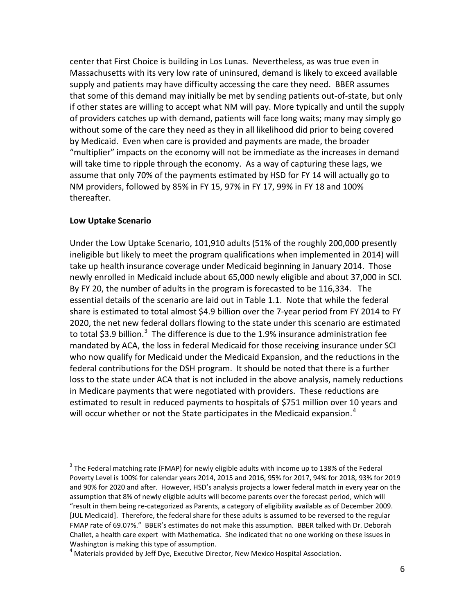center that First Choice is building in Los Lunas. Nevertheless, as was true even in Massachusetts with its very low rate of uninsured, demand is likely to exceed available supply and patients may have difficulty accessing the care they need. BBER assumes that some of this demand may initially be met by sending patients out-of-state, but only if other states are willing to accept what NM will pay. More typically and until the supply of providers catches up with demand, patients will face long waits; many may simply go without some of the care they need as they in all likelihood did prior to being covered by Medicaid. Even when care is provided and payments are made, the broader "multiplier" impacts on the economy will not be immediate as the increases in demand will take time to ripple through the economy. As a way of capturing these lags, we assume that only 70% of the payments estimated by HSD for FY 14 will actually go to NM providers, followed by 85% in FY 15, 97% in FY 17, 99% in FY 18 and 100% thereafter.

#### **Low Uptake Scenario**

Under the Low Uptake Scenario, 101,910 adults (51% of the roughly 200,000 presently ineligible but likely to meet the program qualifications when implemented in 2014) will take up health insurance coverage under Medicaid beginning in January 2014. Those newly enrolled in Medicaid include about 65,000 newly eligible and about 37,000 in SCI. By FY 20, the number of adults in the program is forecasted to be 116,334. The essential details of the scenario are laid out in Table 1.1. Note that while the federal share is estimated to total almost \$4.9 billion over the 7-year period from FY 2014 to FY 2020, the net new federal dollars flowing to the state under this scenario are estimated to total \$[3](#page-6-0).9 billion.<sup>3</sup> The difference is due to the 1.9% insurance administration fee mandated by ACA, the loss in federal Medicaid for those receiving insurance under SCI who now qualify for Medicaid under the Medicaid Expansion, and the reductions in the federal contributions for the DSH program. It should be noted that there is a further loss to the state under ACA that is not included in the above analysis, namely reductions in Medicare payments that were negotiated with providers. These reductions are estimated to result in reduced payments to hospitals of \$751 million over 10 years and will occur whether or not the State participates in the Medicaid expansion.<sup>[4](#page-6-1)</sup>

<span id="page-6-0"></span> $3$  The Federal matching rate (FMAP) for newly eligible adults with income up to 138% of the Federal Poverty Level is 100% for calendar years 2014, 2015 and 2016, 95% for 2017, 94% for 2018, 93% for 2019 and 90% for 2020 and after. However, HSD's analysis projects a lower federal match in every year on the assumption that 8% of newly eligible adults will become parents over the forecast period, which will "result in them being re-categorized as Parents, a category of eligibility available as of December 2009. [JUL Medicaid]. Therefore, the federal share for these adults is assumed to be reversed to the regular FMAP rate of 69.07%." BBER's estimates do not make this assumption. BBER talked with Dr. Deborah Challet, a health care expert with Mathematica. She indicated that no one working on these issues in Washington is making this type of assumption.

<span id="page-6-1"></span> $<sup>4</sup>$  Materials provided by Jeff Dye, Executive Director, New Mexico Hospital Association.</sup>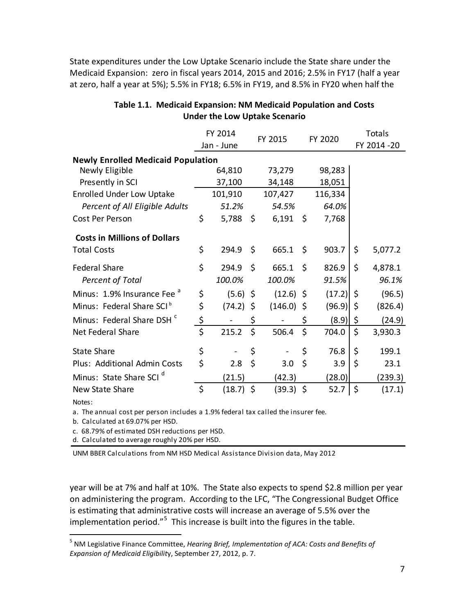State expenditures under the Low Uptake Scenario include the State share under the Medicaid Expansion: zero in fiscal years 2014, 2015 and 2016; 2.5% in FY17 (half a year at zero, half a year at 5%); 5.5% in FY18; 6.5% in FY19, and 8.5% in FY20 when half the

|                                           | FY 2014<br>Jan - June |             |         | FY 2015      |    | FY 2020 |    | <b>Totals</b> |  |
|-------------------------------------------|-----------------------|-------------|---------|--------------|----|---------|----|---------------|--|
|                                           |                       |             |         |              |    |         |    | FY 2014 - 20  |  |
| <b>Newly Enrolled Medicaid Population</b> |                       |             |         |              |    |         |    |               |  |
| Newly Eligible                            |                       | 64,810      |         | 73,279       |    | 98,283  |    |               |  |
| Presently in SCI                          |                       | 37,100      |         | 34,148       |    | 18,051  |    |               |  |
| <b>Enrolled Under Low Uptake</b>          |                       | 101,910     |         | 107,427      |    | 116,334 |    |               |  |
| Percent of All Eligible Adults            |                       | 51.2%       |         | 54.5%        |    | 64.0%   |    |               |  |
| Cost Per Person                           | \$                    | 5,788       | \$      | 6,191        | \$ | 7,768   |    |               |  |
| <b>Costs in Millions of Dollars</b>       |                       |             |         |              |    |         |    |               |  |
| <b>Total Costs</b>                        | \$                    | 294.9       | \$      | 665.1        | \$ | 903.7   | \$ | 5,077.2       |  |
| <b>Federal Share</b>                      | \$                    | 294.9       | $\zeta$ | 665.1        | \$ | 826.9   | \$ | 4,878.1       |  |
| <b>Percent of Total</b>                   |                       | 100.0%      |         | 100.0%       |    | 91.5%   |    | 96.1%         |  |
| Minus: 1.9% Insurance Fee <sup>a</sup>    | \$                    | $(5.6)$ \$  |         | $(12.6)$ \$  |    | (17.2)  | \$ | (96.5)        |  |
| Minus: Federal Share SCI <sup>b</sup>     | \$                    | $(74.2)$ \$ |         | $(146.0)$ \$ |    | (96.9)  | \$ | (826.4)       |  |
| Minus: Federal Share DSH <sup>c</sup>     | \$                    |             | \$      |              | \$ | (8.9)   | \$ | (24.9)        |  |
| Net Federal Share                         | \$                    | 215.2       | \$      | 506.4        | \$ | 704.0   | \$ | 3,930.3       |  |
| <b>State Share</b>                        | \$                    |             | \$      |              | \$ | 76.8    | \$ | 199.1         |  |
| Plus: Additional Admin Costs              | \$                    | 2.8         | $\zeta$ | 3.0          | \$ | 3.9     | \$ | 23.1          |  |
| Minus: State Share SCI <sup>d</sup>       |                       | (21.5)      |         | (42.3)       |    | (28.0)  |    | (239.3)       |  |
| New State Share                           | \$                    | $(18.7)$ \$ |         | (39.3) \$    |    | 52.7    | \$ | (17.1)        |  |
|                                           |                       |             |         |              |    |         |    |               |  |

#### **Table 1.1. Medicaid Expansion: NM Medicaid Population and Costs Under the Low Uptake Scenario**

Notes:

a. The annual cost per person includes a 1.9% federal tax called the insurer fee.

b. Calculated at 69.07% per HSD.

c. 68.79% of estimated DSH reductions per HSD.

d. Calculated to average roughly 20% per HSD.

UNM BBER Calculations from NM HSD Medical Assistance Division data, May 2012

year will be at 7% and half at 10%. The State also expects to spend \$2.8 million per year on administering the program. According to the LFC, "The Congressional Budget Office is estimating that administrative costs will increase an average of 5.5% over the implementation period."<sup>[5](#page-7-0)</sup> This increase is built into the figures in the table.

<span id="page-7-0"></span> <sup>5</sup> NM Legislative Finance Committee, *Hearing Brief, Implementation of ACA: Costs and Benefits of Expansion of Medicaid Eligibilit*y, September 27, 2012, p. 7.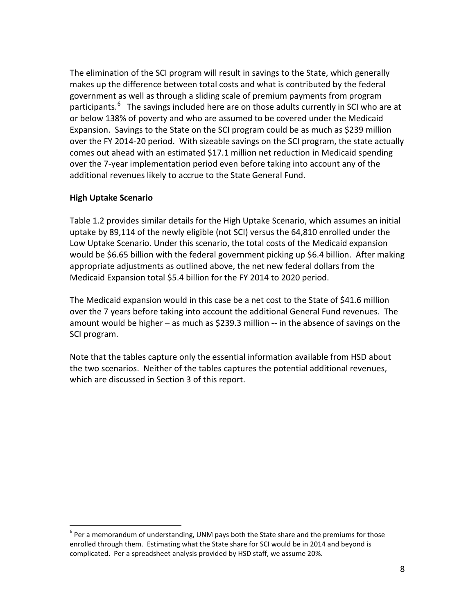The elimination of the SCI program will result in savings to the State, which generally makes up the difference between total costs and what is contributed by the federal government as well as through a sliding scale of premium payments from program participants.<sup>[6](#page-8-0)</sup> The savings included here are on those adults currently in SCI who are at or below 138% of poverty and who are assumed to be covered under the Medicaid Expansion. Savings to the State on the SCI program could be as much as \$239 million over the FY 2014-20 period. With sizeable savings on the SCI program, the state actually comes out ahead with an estimated \$17.1 million net reduction in Medicaid spending over the 7-year implementation period even before taking into account any of the additional revenues likely to accrue to the State General Fund.

#### **High Uptake Scenario**

Table 1.2 provides similar details for the High Uptake Scenario, which assumes an initial uptake by 89,114 of the newly eligible (not SCI) versus the 64,810 enrolled under the Low Uptake Scenario. Under this scenario, the total costs of the Medicaid expansion would be \$6.65 billion with the federal government picking up \$6.4 billion. After making appropriate adjustments as outlined above, the net new federal dollars from the Medicaid Expansion total \$5.4 billion for the FY 2014 to 2020 period.

The Medicaid expansion would in this case be a net cost to the State of \$41.6 million over the 7 years before taking into account the additional General Fund revenues. The amount would be higher – as much as \$239.3 million -- in the absence of savings on the SCI program.

Note that the tables capture only the essential information available from HSD about the two scenarios. Neither of the tables captures the potential additional revenues, which are discussed in Section 3 of this report.

<span id="page-8-0"></span> $6$  Per a memorandum of understanding, UNM pays both the State share and the premiums for those enrolled through them. Estimating what the State share for SCI would be in 2014 and beyond is complicated. Per a spreadsheet analysis provided by HSD staff, we assume 20%.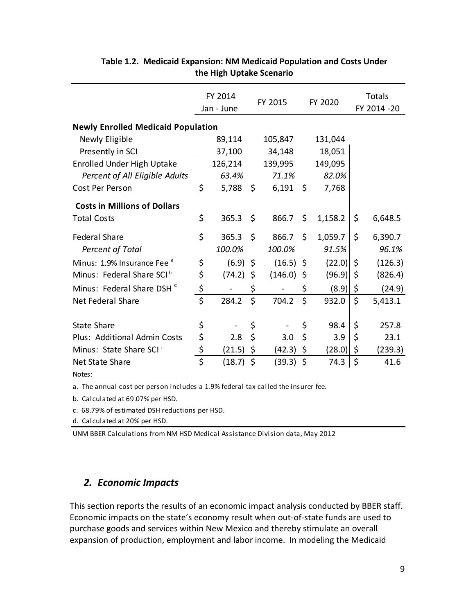|                                           |          | FY 2014<br>Jan - June |      | FY 2015     | FY 2020 |         | Totals<br>FY 2014 - 20 |         |
|-------------------------------------------|----------|-----------------------|------|-------------|---------|---------|------------------------|---------|
| <b>Newly Enrolled Medicaid Population</b> |          |                       |      |             |         |         |                        |         |
| Newly Eligible                            |          | 89,114                |      | 105,847     |         | 131,044 |                        |         |
| Presently in SCI                          |          | 37,100                |      | 34,148      |         | 18,051  |                        |         |
| <b>Enrolled Under High Uptake</b>         |          | 126,214               |      | 139,995     |         | 149,095 |                        |         |
| Percent of All Eligible Adults            |          | 63.4%                 |      | 71.1%       |         | 82.0%   |                        |         |
| Cost Per Person                           | \$       | 5,788                 | -\$  | 6,191       | $\zeta$ | 7,768   |                        |         |
| <b>Costs in Millions of Dollars</b>       |          |                       |      |             |         |         |                        |         |
| <b>Total Costs</b>                        | \$       | 365.3                 | - \$ | 866.7       | \$      | 1,158.2 | \$                     | 6,648.5 |
| <b>Federal Share</b>                      | \$       | 365.3                 | \$   | 866.7       | Ś.      | 1,059.7 | \$                     | 6,390.7 |
| <b>Percent of Total</b>                   |          | 100.0%                |      | 100.0%      |         | 91.5%   |                        | 96.1%   |
| Minus: 1.9% Insurance Fee <sup>a</sup>    | \$       | (6.9)                 | \$   | $(16.5)$ \$ |         | (22.0)  | \$                     | (126.3) |
| Minus: Federal Share SCI <sup>b</sup>     | \$       | (74.2)                | \$   | (146.0)     | -\$     | (96.9)  | \$                     | (826.4) |
| Minus: Federal Share DSH <sup>c</sup>     | \$       |                       | \$   |             | \$      | (8.9)   | \$                     | (24.9)  |
| Net Federal Share                         | \$       | 284.2                 | \$   | 704.2       | \$      | 932.0   | \$                     | 5,413.1 |
| <b>State Share</b>                        | \$       |                       | \$   |             | \$      | 98.4    | \$                     | 257.8   |
| Plus: Additional Admin Costs              | \$       | 2.8                   | \$   | 3.0         | \$      | 3.9     | \$                     | 23.1    |
| Minus: State Share SCI <sup>c</sup>       |          |                       |      |             |         |         |                        |         |
|                                           | \$<br>\$ | (21.5)                | \$   | (42.3)      | \$      | (28.0)  | \$                     | (239.3) |
| Net State Share                           |          | (18.7)                | \$   | (39.3)      | $\zeta$ | 74.3    | \$                     | 41.6    |
| Notes:                                    |          |                       |      |             |         |         |                        |         |

#### **Table 1.2. Medicaid Expansion: NM Medicaid Population and Costs Under the High Uptake Scenario**

a. The annual cost per person includes a 1.9% federal tax called the insurer fee.

b. Calculated at 69.07% per HSD.

c. 68.79% of estimated DSH reductions per HSD.

d. Calculated at 20% per HSD.

UNM BBER Calculations from NM HSD Medical Assistance Division data, May 2012

### *2. Economic Impacts*

This section reports the results of an economic impact analysis conducted by BBER staff. Economic impacts on the state's economy result when out-of-state funds are used to purchase goods and services within New Mexico and thereby stimulate an overall expansion of production, employment and labor income. In modeling the Medicaid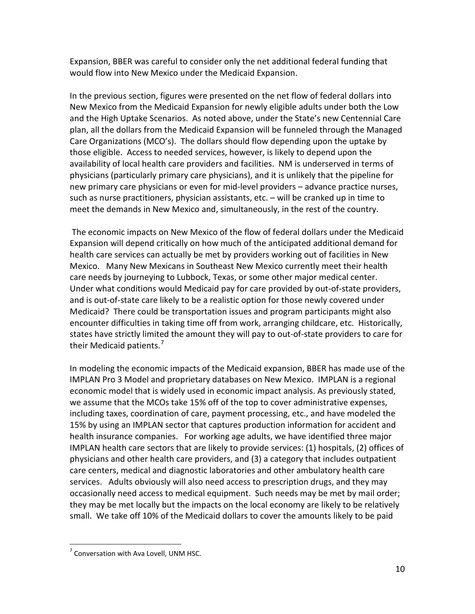Expansion, BBER was careful to consider only the net additional federal funding that would flow into New Mexico under the Medicaid Expansion.

In the previous section, figures were presented on the net flow of federal dollars into New Mexico from the Medicaid Expansion for newly eligible adults under both the Low and the High Uptake Scenarios. As noted above, under the State's new Centennial Care plan, all the dollars from the Medicaid Expansion will be funneled through the Managed Care Organizations (MCO's). The dollars should flow depending upon the uptake by those eligible. Access to needed services, however, is likely to depend upon the availability of local health care providers and facilities. NM is underserved in terms of physicians (particularly primary care physicians), and it is unlikely that the pipeline for new primary care physicians or even for mid-level providers – advance practice nurses, such as nurse practitioners, physician assistants, etc. – will be cranked up in time to meet the demands in New Mexico and, simultaneously, in the rest of the country.

The economic impacts on New Mexico of the flow of federal dollars under the Medicaid Expansion will depend critically on how much of the anticipated additional demand for health care services can actually be met by providers working out of facilities in New Mexico. Many New Mexicans in Southeast New Mexico currently meet their health care needs by journeying to Lubbock, Texas, or some other major medical center. Under what conditions would Medicaid pay for care provided by out-of-state providers, and is out-of-state care likely to be a realistic option for those newly covered under Medicaid? There could be transportation issues and program participants might also encounter difficulties in taking time off from work, arranging childcare, etc. Historically, states have strictly limited the amount they will pay to out-of-state providers to care for their Medicaid patients.<sup>[7](#page-10-0)</sup>

In modeling the economic impacts of the Medicaid expansion, BBER has made use of the IMPLAN Pro 3 Model and proprietary databases on New Mexico. IMPLAN is a regional economic model that is widely used in economic impact analysis. As previously stated, we assume that the MCOs take 15% off of the top to cover administrative expenses, including taxes, coordination of care, payment processing, etc., and have modeled the 15% by using an IMPLAN sector that captures production information for accident and health insurance companies. For working age adults, we have identified three major IMPLAN health care sectors that are likely to provide services: (1) hospitals, (2) offices of physicians and other health care providers, and (3) a category that includes outpatient care centers, medical and diagnostic laboratories and other ambulatory health care services. Adults obviously will also need access to prescription drugs, and they may occasionally need access to medical equipment. Such needs may be met by mail order; they may be met locally but the impacts on the local economy are likely to be relatively small. We take off 10% of the Medicaid dollars to cover the amounts likely to be paid

<span id="page-10-0"></span> $<sup>7</sup>$  Conversation with Ava Lovell, UNM HSC.</sup>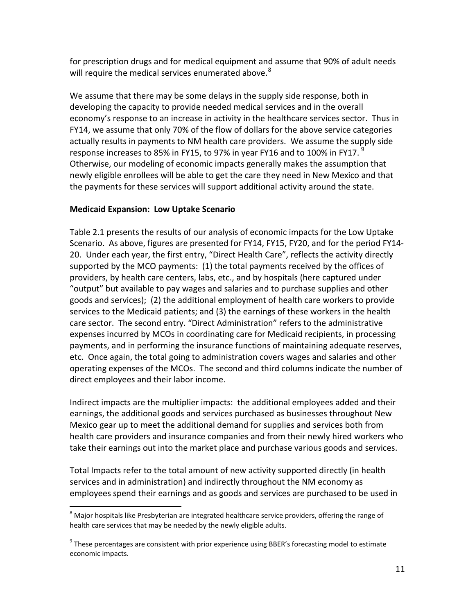for prescription drugs and for medical equipment and assume that 90% of adult needs will require the medical services enumerated above.<sup>[8](#page-11-0)</sup>

We assume that there may be some delays in the supply side response, both in developing the capacity to provide needed medical services and in the overall economy's response to an increase in activity in the healthcare services sector. Thus in FY14, we assume that only 70% of the flow of dollars for the above service categories actually results in payments to NM health care providers. We assume the supply side response increases to 85% in FY15, to [9](#page-11-1)7% in year FY16 and to 100% in FY17.  $^{9}$ Otherwise, our modeling of economic impacts generally makes the assumption that newly eligible enrollees will be able to get the care they need in New Mexico and that the payments for these services will support additional activity around the state.

#### **Medicaid Expansion: Low Uptake Scenario**

Table 2.1 presents the results of our analysis of economic impacts for the Low Uptake Scenario. As above, figures are presented for FY14, FY15, FY20, and for the period FY14- 20. Under each year, the first entry, "Direct Health Care", reflects the activity directly supported by the MCO payments: (1) the total payments received by the offices of providers, by health care centers, labs, etc., and by hospitals (here captured under "output" but available to pay wages and salaries and to purchase supplies and other goods and services); (2) the additional employment of health care workers to provide services to the Medicaid patients; and (3) the earnings of these workers in the health care sector. The second entry. "Direct Administration" refers to the administrative expenses incurred by MCOs in coordinating care for Medicaid recipients, in processing payments, and in performing the insurance functions of maintaining adequate reserves, etc. Once again, the total going to administration covers wages and salaries and other operating expenses of the MCOs. The second and third columns indicate the number of direct employees and their labor income.

Indirect impacts are the multiplier impacts: the additional employees added and their earnings, the additional goods and services purchased as businesses throughout New Mexico gear up to meet the additional demand for supplies and services both from health care providers and insurance companies and from their newly hired workers who take their earnings out into the market place and purchase various goods and services.

Total Impacts refer to the total amount of new activity supported directly (in health services and in administration) and indirectly throughout the NM economy as employees spend their earnings and as goods and services are purchased to be used in

<span id="page-11-0"></span><sup>&</sup>lt;sup>8</sup> Major hospitals like Presbyterian are integrated healthcare service providers, offering the range of health care services that may be needed by the newly eligible adults.

<span id="page-11-1"></span> $9$  These percentages are consistent with prior experience using BBER's forecasting model to estimate economic impacts.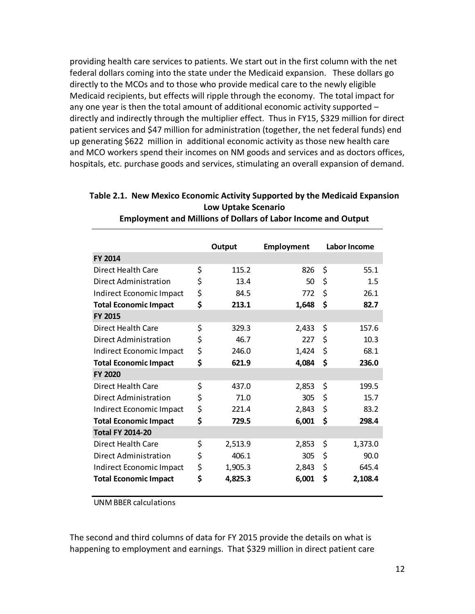providing health care services to patients. We start out in the first column with the net federal dollars coming into the state under the Medicaid expansion. These dollars go directly to the MCOs and to those who provide medical care to the newly eligible Medicaid recipients, but effects will ripple through the economy. The total impact for any one year is then the total amount of additional economic activity supported – directly and indirectly through the multiplier effect. Thus in FY15, \$329 million for direct patient services and \$47 million for administration (together, the net federal funds) end up generating \$622 million in additional economic activity as those new health care and MCO workers spend their incomes on NM goods and services and as doctors offices, hospitals, etc. purchase goods and services, stimulating an overall expansion of demand.

|                              | Output        | <b>Employment</b> | Labor Income  |
|------------------------------|---------------|-------------------|---------------|
| <b>FY 2014</b>               |               |                   |               |
| Direct Health Care           | \$<br>115.2   | 826               | \$<br>55.1    |
| Direct Administration        | \$<br>13.4    | 50                | \$<br>1.5     |
| Indirect Economic Impact     | \$<br>84.5    | 772               | \$<br>26.1    |
| <b>Total Economic Impact</b> | \$<br>213.1   | 1,648             | \$<br>82.7    |
| <b>FY 2015</b>               |               |                   |               |
| Direct Health Care           | \$<br>329.3   | 2,433             | \$<br>157.6   |
| Direct Administration        | \$<br>46.7    | 227               | \$<br>10.3    |
| Indirect Economic Impact     | \$<br>246.0   | 1,424             | \$<br>68.1    |
| <b>Total Economic Impact</b> | \$<br>621.9   | 4,084             | \$<br>236.0   |
| <b>FY 2020</b>               |               |                   |               |
| Direct Health Care           | \$<br>437.0   | 2,853             | \$<br>199.5   |
| Direct Administration        | \$<br>71.0    | 305               | \$<br>15.7    |
| Indirect Economic Impact     | \$<br>221.4   | 2,843             | \$<br>83.2    |
| <b>Total Economic Impact</b> | \$<br>729.5   | 6,001             | \$<br>298.4   |
| <b>Total FY 2014-20</b>      |               |                   |               |
| Direct Health Care           | \$<br>2,513.9 | 2,853             | \$<br>1,373.0 |
| Direct Administration        | \$<br>406.1   | 305               | \$<br>90.0    |
| Indirect Economic Impact     | \$<br>1,905.3 | 2,843             | \$<br>645.4   |
| <b>Total Economic Impact</b> | \$<br>4,825.3 | 6,001             | \$<br>2,108.4 |
|                              |               |                   |               |

#### **Table 2.1. New Mexico Economic Activity Supported by the Medicaid Expansion Low Uptake Scenario Employment and Millions of Dollars of Labor Income and Output**

UNM BBER calculations

The second and third columns of data for FY 2015 provide the details on what is happening to employment and earnings. That \$329 million in direct patient care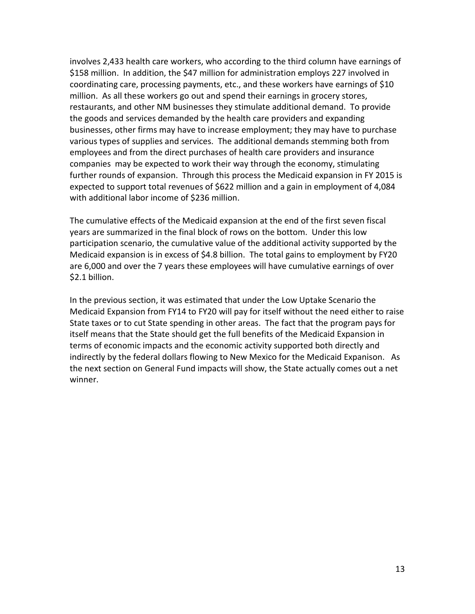involves 2,433 health care workers, who according to the third column have earnings of \$158 million. In addition, the \$47 million for administration employs 227 involved in coordinating care, processing payments, etc., and these workers have earnings of \$10 million. As all these workers go out and spend their earnings in grocery stores, restaurants, and other NM businesses they stimulate additional demand. To provide the goods and services demanded by the health care providers and expanding businesses, other firms may have to increase employment; they may have to purchase various types of supplies and services. The additional demands stemming both from employees and from the direct purchases of health care providers and insurance companies may be expected to work their way through the economy, stimulating further rounds of expansion. Through this process the Medicaid expansion in FY 2015 is expected to support total revenues of \$622 million and a gain in employment of 4,084 with additional labor income of \$236 million.

The cumulative effects of the Medicaid expansion at the end of the first seven fiscal years are summarized in the final block of rows on the bottom. Under this low participation scenario, the cumulative value of the additional activity supported by the Medicaid expansion is in excess of \$4.8 billion. The total gains to employment by FY20 are 6,000 and over the 7 years these employees will have cumulative earnings of over \$2.1 billion.

In the previous section, it was estimated that under the Low Uptake Scenario the Medicaid Expansion from FY14 to FY20 will pay for itself without the need either to raise State taxes or to cut State spending in other areas. The fact that the program pays for itself means that the State should get the full benefits of the Medicaid Expansion in terms of economic impacts and the economic activity supported both directly and indirectly by the federal dollars flowing to New Mexico for the Medicaid Expanison. As the next section on General Fund impacts will show, the State actually comes out a net winner.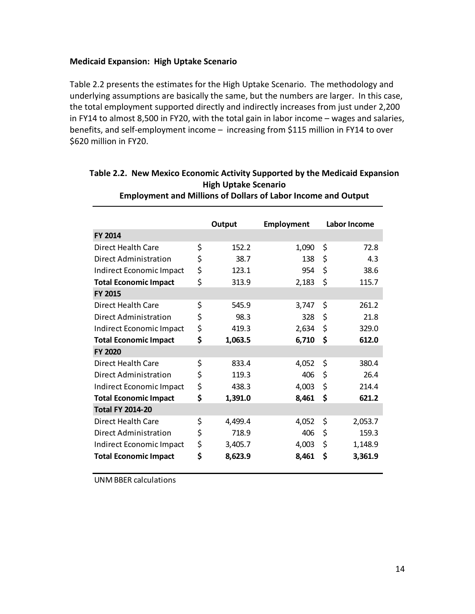#### **Medicaid Expansion: High Uptake Scenario**

Table 2.2 presents the estimates for the High Uptake Scenario. The methodology and underlying assumptions are basically the same, but the numbers are larger. In this case, the total employment supported directly and indirectly increases from just under 2,200 in FY14 to almost 8,500 in FY20, with the total gain in labor income – wages and salaries, benefits, and self-employment income – increasing from \$115 million in FY14 to over \$620 million in FY20.

|                              | Output        | <b>Employment</b> | Labor Income  |
|------------------------------|---------------|-------------------|---------------|
| <b>FY 2014</b>               |               |                   |               |
| Direct Health Care           | \$<br>152.2   | 1,090             | \$<br>72.8    |
| Direct Administration        | \$<br>38.7    | 138               | \$<br>4.3     |
| Indirect Economic Impact     | \$<br>123.1   | 954               | \$<br>38.6    |
| <b>Total Economic Impact</b> | \$<br>313.9   | 2,183             | \$<br>115.7   |
| <b>FY 2015</b>               |               |                   |               |
| Direct Health Care           | \$<br>545.9   | 3,747             | \$<br>261.2   |
| Direct Administration        | \$<br>98.3    | 328               | \$<br>21.8    |
| Indirect Economic Impact     | \$<br>419.3   | 2,634             | \$<br>329.0   |
| <b>Total Economic Impact</b> | \$<br>1,063.5 | 6,710             | \$<br>612.0   |
| <b>FY 2020</b>               |               |                   |               |
| Direct Health Care           | \$<br>833.4   | 4,052             | \$<br>380.4   |
| Direct Administration        | \$<br>119.3   | 406               | \$<br>26.4    |
| Indirect Economic Impact     | \$<br>438.3   | 4,003             | \$<br>214.4   |
| <b>Total Economic Impact</b> | \$<br>1,391.0 | 8,461             | \$<br>621.2   |
| <b>Total FY 2014-20</b>      |               |                   |               |
| Direct Health Care           | \$<br>4,499.4 | 4,052             | \$<br>2,053.7 |
| Direct Administration        | \$<br>718.9   | 406               | \$<br>159.3   |
| Indirect Economic Impact     | \$<br>3,405.7 | 4,003             | \$<br>1,148.9 |
| <b>Total Economic Impact</b> | \$<br>8,623.9 | 8,461             | \$<br>3,361.9 |

#### **Table 2.2. New Mexico Economic Activity Supported by the Medicaid Expansion High Uptake Scenario Employment and Millions of Dollars of Labor Income and Output**

UNM BBER calculations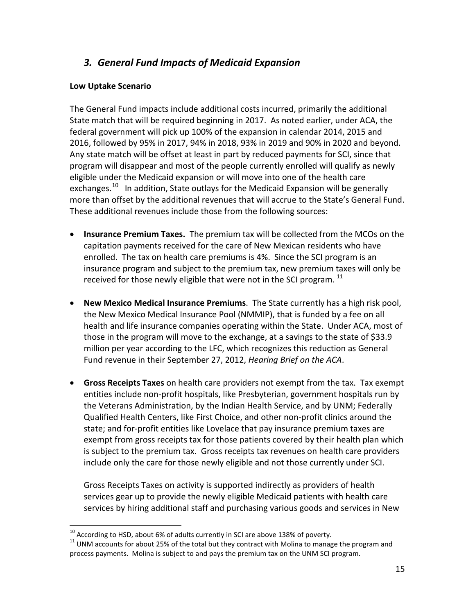# *3. General Fund Impacts of Medicaid Expansion*

#### **Low Uptake Scenario**

The General Fund impacts include additional costs incurred, primarily the additional State match that will be required beginning in 2017. As noted earlier, under ACA, the federal government will pick up 100% of the expansion in calendar 2014, 2015 and 2016, followed by 95% in 2017, 94% in 2018, 93% in 2019 and 90% in 2020 and beyond. Any state match will be offset at least in part by reduced payments for SCI, since that program will disappear and most of the people currently enrolled will qualify as newly eligible under the Medicaid expansion or will move into one of the health care exchanges.<sup>10</sup> In addition, State outlays for the Medicaid Expansion will be generally more than offset by the additional revenues that will accrue to the State's General Fund. These additional revenues include those from the following sources:

- **Insurance Premium Taxes.** The premium tax will be collected from the MCOs on the capitation payments received for the care of New Mexican residents who have enrolled. The tax on health care premiums is 4%. Since the SCI program is an insurance program and subject to the premium tax, new premium taxes will only be received for those newly eligible that were not in the SCI program.<sup>[11](#page-15-1)</sup>
- **New Mexico Medical Insurance Premiums**. The State currently has a high risk pool, the New Mexico Medical Insurance Pool (NMMIP), that is funded by a fee on all health and life insurance companies operating within the State. Under ACA, most of those in the program will move to the exchange, at a savings to the state of \$33.9 million per year according to the LFC, which recognizes this reduction as General Fund revenue in their September 27, 2012, *Hearing Brief on the ACA*.
- **Gross Receipts Taxes** on health care providers not exempt from the tax. Tax exempt entities include non-profit hospitals, like Presbyterian, government hospitals run by the Veterans Administration, by the Indian Health Service, and by UNM; Federally Qualified Health Centers, like First Choice, and other non-profit clinics around the state; and for-profit entities like Lovelace that pay insurance premium taxes are exempt from gross receipts tax for those patients covered by their health plan which is subject to the premium tax. Gross receipts tax revenues on health care providers include only the care for those newly eligible and not those currently under SCI.

Gross Receipts Taxes on activity is supported indirectly as providers of health services gear up to provide the newly eligible Medicaid patients with health care services by hiring additional staff and purchasing various goods and services in New

<span id="page-15-1"></span><span id="page-15-0"></span><sup>&</sup>lt;sup>10</sup> According to HSD, about 6% of adults currently in SCI are above 138% of poverty.<br><sup>11</sup> UNM accounts for about 25% of the total but they contract with Molina to manage the program and process payments. Molina is subject to and pays the premium tax on the UNM SCI program.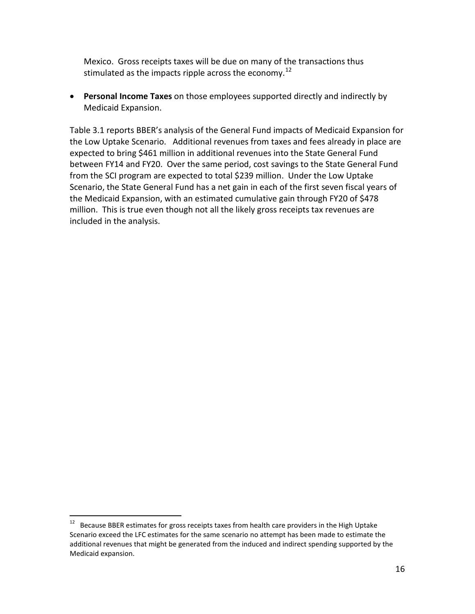Mexico. Gross receipts taxes will be due on many of the transactions thus stimulated as the impacts ripple across the economy.<sup>[12](#page-16-0)</sup>

• **Personal Income Taxes** on those employees supported directly and indirectly by Medicaid Expansion.

Table 3.1 reports BBER's analysis of the General Fund impacts of Medicaid Expansion for the Low Uptake Scenario. Additional revenues from taxes and fees already in place are expected to bring \$461 million in additional revenues into the State General Fund between FY14 and FY20. Over the same period, cost savings to the State General Fund from the SCI program are expected to total \$239 million. Under the Low Uptake Scenario, the State General Fund has a net gain in each of the first seven fiscal years of the Medicaid Expansion, with an estimated cumulative gain through FY20 of \$478 million. This is true even though not all the likely gross receipts tax revenues are included in the analysis.

<span id="page-16-0"></span><sup>&</sup>lt;sup>12</sup> Because BBER estimates for gross receipts taxes from health care providers in the High Uptake Scenario exceed the LFC estimates for the same scenario no attempt has been made to estimate the additional revenues that might be generated from the induced and indirect spending supported by the Medicaid expansion.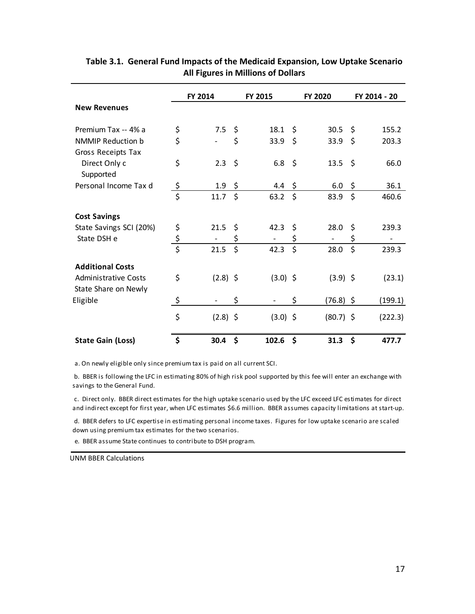|                                                     |                                 | FY 2014    |         | FY 2015    |         | FY 2020     |     | FY 2014 - 20 |
|-----------------------------------------------------|---------------------------------|------------|---------|------------|---------|-------------|-----|--------------|
| <b>New Revenues</b>                                 |                                 |            |         |            |         |             |     |              |
| Premium Tax -- 4% a                                 | \$                              | 7.5        | \$      | 18.1       | \$      | 30.5        | -\$ | 155.2        |
| <b>NMMIP Reduction b</b><br>Gross Receipts Tax      | \$                              |            | \$      | 33.9       | \$      | 33.9        | \$  | 203.3        |
| Direct Only c<br>Supported                          | \$                              | 2.3        | $\zeta$ | 6.8        | $\zeta$ | 13.5 \$     |     | 66.0         |
| Personal Income Tax d                               | <u>\$</u>                       | 1.9        | \$      | 4.4        | \$      | 6.0         | \$  | 36.1         |
|                                                     | $\overline{\boldsymbol{\zeta}}$ | 11.7       | \$      | 63.2       | \$      | 83.9        | \$  | 460.6        |
| <b>Cost Savings</b>                                 |                                 |            |         |            |         |             |     |              |
| State Savings SCI (20%)                             | \$                              | 21.5       | \$      | 42.3       | \$      | 28.0        | \$  | 239.3        |
| State DSH e                                         | $rac{5}{5}$                     |            | \$      |            | \$      |             | \$  |              |
|                                                     |                                 | 21.5       | \$      | 42.3       | \$      | 28.0        | \$  | 239.3        |
| <b>Additional Costs</b>                             |                                 |            |         |            |         |             |     |              |
| <b>Administrative Costs</b><br>State Share on Newly | \$                              | $(2.8)$ \$ |         | $(3.0)$ \$ |         | $(3.9)$ \$  |     | (23.1)       |
| Eligible                                            | \$                              |            | \$      |            | \$      | $(76.8)$ \$ |     | (199.1)      |
|                                                     | \$                              | $(2.8)$ \$ |         | $(3.0)$ \$ |         | $(80.7)$ \$ |     | (222.3)      |
| <b>State Gain (Loss)</b>                            | \$                              | 30.4       | \$      | 102.6      | \$      | 31.3        | \$  | 477.7        |

#### **Table 3.1. General Fund Impacts of the Medicaid Expansion, Low Uptake Scenario All Figures in Millions of Dollars**

a. On newly eligible only since premium tax is paid on all current SCI.

 b. BBER is following the LFC in estimating 80% of high risk pool supported by this fee will enter an exchange with savings to the General Fund.

 c. Direct only. BBER direct estimates for the high uptake scenario used by the LFC exceed LFC estimates for direct and indirect except for first year, when LFC estimates \$6.6 million. BBER assumes capacity limitations at start-up.

 d. BBER defers to LFC expertise in estimating personal income taxes. Figures for low uptake scenario are scaled down using premium tax estimates for the two scenarios.

e. BBER assume State continues to contribute to DSH program.

UNM BBER Calculations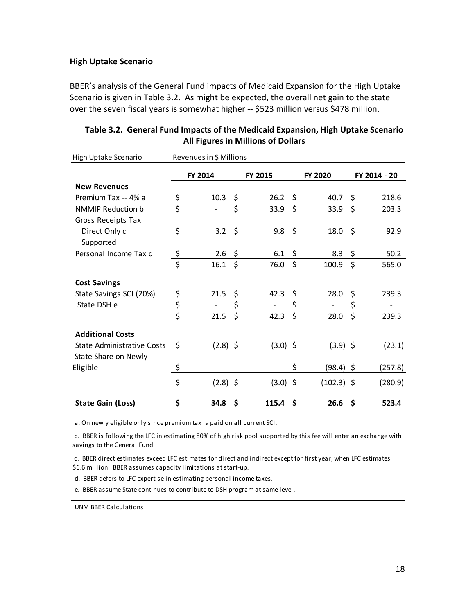#### **High Uptake Scenario**

BBER's analysis of the General Fund impacts of Medicaid Expansion for the High Uptake Scenario is given in Table 3.2. As might be expected, the overall net gain to the state over the seven fiscal years is somewhat higher -- \$523 million versus \$478 million.

| High Uptake Scenario              |                 | Revenues in \$ Millions |         |            |         |              |              |
|-----------------------------------|-----------------|-------------------------|---------|------------|---------|--------------|--------------|
|                                   |                 | FY 2014                 |         | FY 2015    |         | FY 2020      | FY 2014 - 20 |
| <b>New Revenues</b>               |                 |                         |         |            |         |              |              |
| Premium Tax -- 4% a               | \$              | 10.3                    | \$      | 26.2       | \$      | 40.7         | \$<br>218.6  |
| <b>NMMIP Reduction b</b>          | \$              |                         | \$      | 33.9       | $\zeta$ | 33.9         | \$<br>203.3  |
| Gross Receipts Tax                |                 |                         |         |            |         |              |              |
| Direct Only c                     | \$              | 3.2                     | \$      | 9.8        | \$      | 18.0         | \$<br>92.9   |
| Supported                         |                 |                         |         |            |         |              |              |
| Personal Income Tax d             |                 | 2.6                     | \$      | 6.1        | \$      | 8.3          | \$<br>50.2   |
|                                   | $rac{\xi}{\xi}$ | 16.1                    | $\zeta$ | 76.0       | $\zeta$ | 100.9        | \$<br>565.0  |
| <b>Cost Savings</b>               |                 |                         |         |            |         |              |              |
| State Savings SCI (20%)           | \$              | 21.5                    | \$      | 42.3       | \$      | 28.0         | \$<br>239.3  |
| State DSH e                       | \$              |                         | \$      |            | \$      |              | \$           |
|                                   | \$              | 21.5                    | \$      | 42.3       | \$      | 28.0         | \$<br>239.3  |
| <b>Additional Costs</b>           |                 |                         |         |            |         |              |              |
| <b>State Administrative Costs</b> | \$              | $(2.8)$ \$              |         | $(3.0)$ \$ |         | $(3.9)$ \$   | (23.1)       |
| State Share on Newly              |                 |                         |         |            |         |              |              |
| Eligible                          | \$              |                         |         |            | \$      | (98.4) \$    | (257.8)      |
|                                   | \$              | $(2.8)$ \$              |         | $(3.0)$ \$ |         | $(102.3)$ \$ | (280.9)      |
| <b>State Gain (Loss)</b>          | \$              | 34.8                    | \$      | 115.4      | \$      | 26.6         | \$<br>523.4  |

| Table 3.2. General Fund Impacts of the Medicaid Expansion, High Uptake Scenario |
|---------------------------------------------------------------------------------|
| <b>All Figures in Millions of Dollars</b>                                       |

a. On newly eligible only since premium tax is paid on all current SCI.

 b. BBER is following the LFC in estimating 80% of high risk pool supported by this fee will enter an exchange with savings to the General Fund.

 c. BBER direct estimates exceed LFC estimates for direct and indirect except for first year, when LFC estimates \$6.6 million. BBER assumes capacity limitations at start-up.

d. BBER defers to LFC expertise in estimating personal income taxes.

e. BBER assume State continues to contribute to DSH program at same level.

UNM BBER Calculations